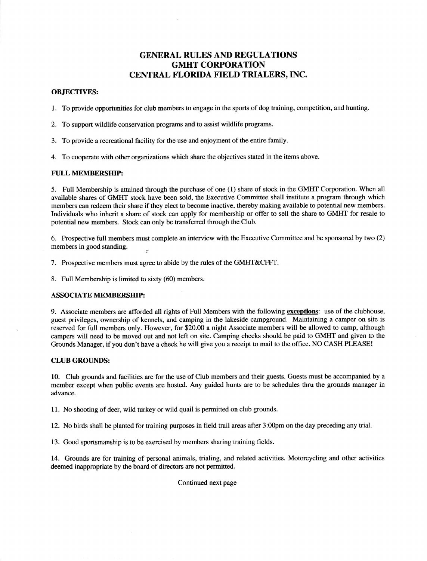# **GENERAL RULES AND REGULATIONS** GMHT CORPORATION CENTRAL FLORIDA FIELD TRIALERS, INC.

### OBJECTIVES:

1. To provide opportunities for club members to engage in the sports of dog training, competition, and hunting.

- 2. To support wildlife conservation programs and to assist wildlife programs.
- 3. To provide a recreational facility for the use and enjoyment of the entire family.
- 4. To cooperate with other organizations which share the objectives stated in the items above.

## FULL MEMBERSHIP:

5. Full Membership is attained through the purchase of one (1) share of stock in the GMHT Corporation. When all available shares of GMHT stock have been sold, the Executive Committee shall institute a program through which members can redeem their share if they elect to become inactive, thereby making available to potential new members. Individuals who inherit a share of stock can apply for membership or offer to sell the share to GMHT for resale to potential new members. Stock can only be transferred through the Club.

6. Prospective full members must complete an interview with the Executive Committee and be sponsored by two (2) members in good standing. y

7. Prospective members must agree to abide by the rules of the GMHT&CFFT.

8. Full Membership is limited to sixty (60) members.

#### ASSOCIATE MEMBERSHIP:

9. Associate members are afforded all rights of Full Members with the following exceptions: use of the clubhouse, guest privileges, ownership of kennels, and camping in the lakeside campground. Maintaining a camper on site is reserved for full members only. However, for \$20.00 a night Associate members will be allowed to camp, although campers will need to be moved out and not left on site. Camping checks should be paid to GMHT and given to the Grounds Manager, if you don't have a check he will give you a receipt to mail to the office. NO CASH PLEASE!

# **CLUB GROUNDS:**

10. Club grounds and facilities are for the use of Club members and their guests. Guests must be accompanied by <sup>a</sup> member except when public events are hosted. Any guided hunts are to be schedules thru the grounds manager in advance.

11. No shooting of deer, wild turkey or wild quail is permitted on club grounds.

12. No birds shall be planted for training purposes in field trail areas after 3:00pm on the day preceding any trial.

13. Good sportsmanship is to be exercised by members sharing training fields.

14. Grounds are for training of personal animals, trialing, and related activities. Motorcycling and other activities deemed inappropriate by the board of directors are not permitted.

#### Continued next page